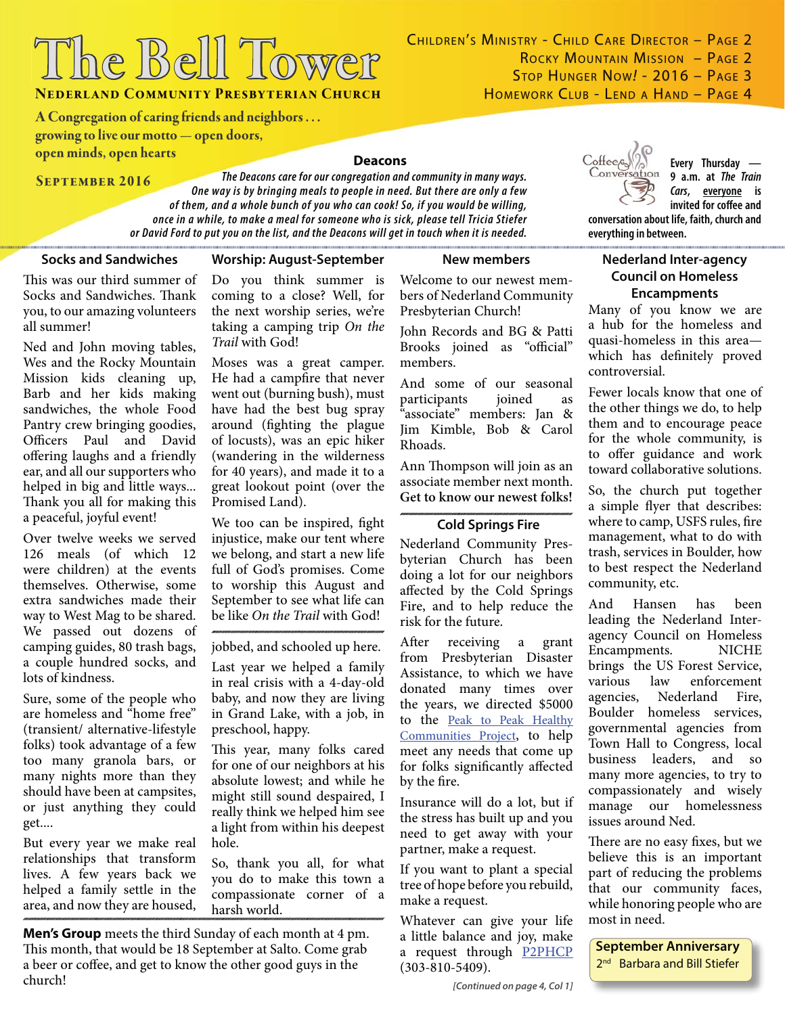# The Bell Tower **NEDERLAND COMMUNITY PRESBYTERIAN CHURCH**

## **A Congregation of caring friends and neighbors . . . Congregation ofcaring friendsand neighbors . . .**

**growing to live our motto — open doors, rowing to live our motto — open**

 $p$ **en** minds, **open** hearts

### **SEPTEMBER 2016**

### **Deacons**

*The Deacons care for our congregation and community in many ways. One way is by bringing meals to people in need. But there are only a few of them, and a whole bunch of you who can cook! So, if you would be willing, once in a while, to make a meal for someone who is sick, please tell Tricia Stiefer or David Ford to put you on the list, and the Deacons will get in touch when it is needed.* 

### **Socks and Sandwiches New members Worship: August-September**

This was our third summer of Socks and Sandwiches. Thank you, to our amazing volunteers all summer!

Ned and John moving tables, Wes and the Rocky Mountain Mission kids cleaning up, Barb and her kids making sandwiches, the whole Food Pantry crew bringing goodies, Officers Paul and David offering laughs and a friendly ear, and all our supporters who helped in big and little ways... Thank you all for making this a peaceful, joyful event!

Over twelve weeks we served 126 meals (of which 12 were children) at the events themselves. Otherwise, some extra sandwiches made their way to West Mag to be shared. We passed out dozens of camping guides, 80 trash bags, a couple hundred socks, and lots of kindness.

Sure, some of the people who are homeless and "home free" (transient/ alternative-lifestyle folks) took advantage of a few too many granola bars, or many nights more than they should have been at campsites, or just anything they could get....

But every year we make real relationships that transform lives. A few years back we helped a family settle in the area, and now they are housed, Do you think summer is coming to a close? Well, for the next worship series, we're taking a camping trip On the Trail with God!

Moses was a great camper. He had a campfire that never went out (burning bush), must have had the best bug spray around (fighting the plague of locusts), was an epic hiker (wandering in the wilderness for 40 years), and made it to a great lookout point (over the Promised Land).

We too can be inspired, fight injustice, make our tent where we belong, and start a new life full of God's promises. Come to worship this August and September to see what life can be like On the Trail with God!

jobbed, and schooled up here.

Last year we helped a family in real crisis with a 4-day-old baby, and now they are living in Grand Lake, with a job, in preschool, happy.

This year, many folks cared for one of our neighbors at his absolute lowest; and while he might still sound despaired, I really think we helped him see a light from within his deepest hole.

So, thank you all, for what you do to make this town a compassionate corner of a harsh world.

**Men's Group** meets the third Sunday of each month at 4 pm. This month, that would be 18 September at Salto. Come grab a beer or coffee, and get to know the other good guys in the church!

Welcome to our newest members of Nederland Community Presbyterian Church!

John Records and BG & Patti Brooks joined as "official" members.

And some of our seasonal participants joined as "associate" members: Jan & Jim Kimble, Bob & Carol Rhoads.

Ann Thompson will join as an associate member next month. **Get to know our newest folks!**

### **Cold Springs Fire**

Nederland Community Presbyterian Church has been doing a lot for our neighbors affected by the Cold Springs Fire, and to help reduce the risk for the future.

After receiving a grant from Presbyterian Disaster Assistance, to which we have donated many times over the years, we directed \$5000 to the Peak to Peak Healthy Communities Project, to help meet any needs that come up for folks significantly affected by the fire.

Insurance will do a lot, but if the stress has built up and you need to get away with your partner, make a request.

If you want to plant a special tree of hope before you rebuild, make a request.

Whatever can give your life a little balance and joy, make a request through P2PHCP (303-810-5409).



**Every Thursday — 9 a.m. at** *The Train Cars***, everyone is**  invited for coffee and

**conversation about life, faith, church and everything in between.**

### **Nederland Inter-agency Council on Homeless Encampments**

Many of you know we are a hub for the homeless and quasi-homeless in this area which has definitely proved controversial.

Fewer locals know that one of the other things we do, to help them and to encourage peace for the whole community, is to offer guidance and work toward collaborative solutions.

So, the church put together a simple flyer that describes: where to camp, USFS rules, fire management, what to do with trash, services in Boulder, how to best respect the Nederland community, etc.

And Hansen has been leading the Nederland Interagency Council on Homeless Encampments. NICHE brings the US Forest Service, various law enforcement agencies, Nederland Fire, Boulder homeless services, governmental agencies from Town Hall to Congress, local business leaders, and so many more agencies, to try to compassionately and wisely manage our homelessness issues around Ned.

There are no easy fixes, but we believe this is an important part of reducing the problems that our community faces, while honoring people who are most in need.

**September Anniversary** 2<sup>nd</sup> Barbara and Bill Stiefer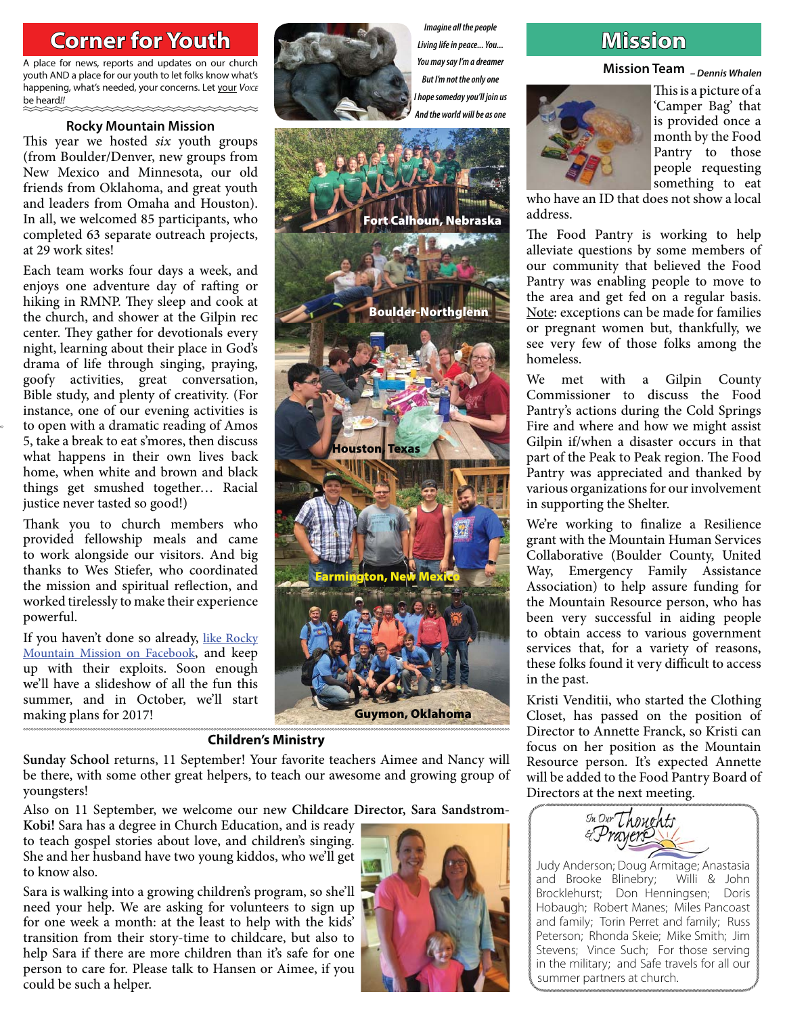## **Corner for Youth order Mission**

A place for news, reports and updates on our church youth AND a place for our youth to let folks know what's happening, what's needed, your concerns. Let your *Voice* be heard*!!*

### **Rocky Mountain Mission**

This year we hosted six youth groups (from Boulder/Denver, new groups from New Mexico and Minnesota, our old friends from Oklahoma, and great youth and leaders from Omaha and Houston). In all, we welcomed 85 participants, who completed 63 separate outreach projects, at 29 work sites!

Each team works four days a week, and enjoys one adventure day of rafting or hiking in RMNP. They sleep and cook at the church, and shower at the Gilpin rec center. They gather for devotionals every night, learning about their place in God's drama of life through singing, praying, goofy activities, great conversation, Bible study, and plenty of creativity. (For instance, one of our evening activities is to open with a dramatic reading of Amos 5, take a break to eat s'mores, then discuss what happens in their own lives back home, when white and brown and black things get smushed together… Racial justice never tasted so good!)

Thank you to church members who provided fellowship meals and came to work alongside our visitors. And big thanks to Wes Stiefer, who coordinated the mission and spiritual reflection, and worked tirelessly to make their experience powerful.

If you haven't done so already, like Rocky Mountain Mission on Facebook, and keep up with their exploits. Soon enough we'll have a slideshow of all the fun this summer, and in October, we'll start making plans for 2017!



*Imagine all the people Living life in peace... You... You may say I'm a dreamer But I'm not the only one I hope someday you'll join us And the world will be as one*



### **Children's Ministry**

**Sunday School** returns, 11 September! Your favorite teachers Aimee and Nancy will be there, with some other great helpers, to teach our awesome and growing group of youngsters!

Also on 11 September, we welcome our new **Childcare Director, Sara Sandstrom-**

**Kobi!** Sara has a degree in Church Education, and is ready to teach gospel stories about love, and children's singing. She and her husband have two young kiddos, who we'll get to know also.

Sara is walking into a growing children's program, so she'll need your help. We are asking for volunteers to sign up for one week a month: at the least to help with the kids' transition from their story-time to childcare, but also to help Sara if there are more children than it's safe for one person to care for. Please talk to Hansen or Aimee, if you could be such a helper.



**Mission Team** *– Dennis Whalen*



This is a picture of a 'Camper Bag' that is provided once a month by the Food Pantry to those people requesting something to eat

who have an ID that does not show a local address.

The Food Pantry is working to help alleviate questions by some members of our community that believed the Food Pantry was enabling people to move to the area and get fed on a regular basis. Note: exceptions can be made for families or pregnant women but, thankfully, we see very few of those folks among the homeless.

We met with a Gilpin County Commissioner to discuss the Food Pantry's actions during the Cold Springs Fire and where and how we might assist Gilpin if/when a disaster occurs in that part of the Peak to Peak region. The Food Pantry was appreciated and thanked by various organizations for our involvement in supporting the Shelter.

We're working to finalize a Resilience grant with the Mountain Human Services Collaborative (Boulder County, United Way, Emergency Family Assistance Association) to help assure funding for the Mountain Resource person, who has been very successful in aiding people to obtain access to various government services that, for a variety of reasons, these folks found it very difficult to access in the past.

Kristi Venditii, who started the Clothing Closet, has passed on the position of Director to Annette Franck, so Kristi can focus on her position as the Mountain Resource person. It's expected Annette will be added to the Food Pantry Board of Directors at the next meeting.

 $g_{\kappa}$ Our  $Thou$ 

Judy Anderson; Doug Armitage; Anastasia and Brooke Blinebry; Willi & John Brocklehurst; Don Henningsen; Doris Hobaugh; Robert Manes; Miles Pancoast and family; Torin Perret and family; Russ Peterson; Rhonda Skeie; Mike Smith; Jim Stevens; Vince Such; For those serving in the military; and Safe travels for all our summer partners at church.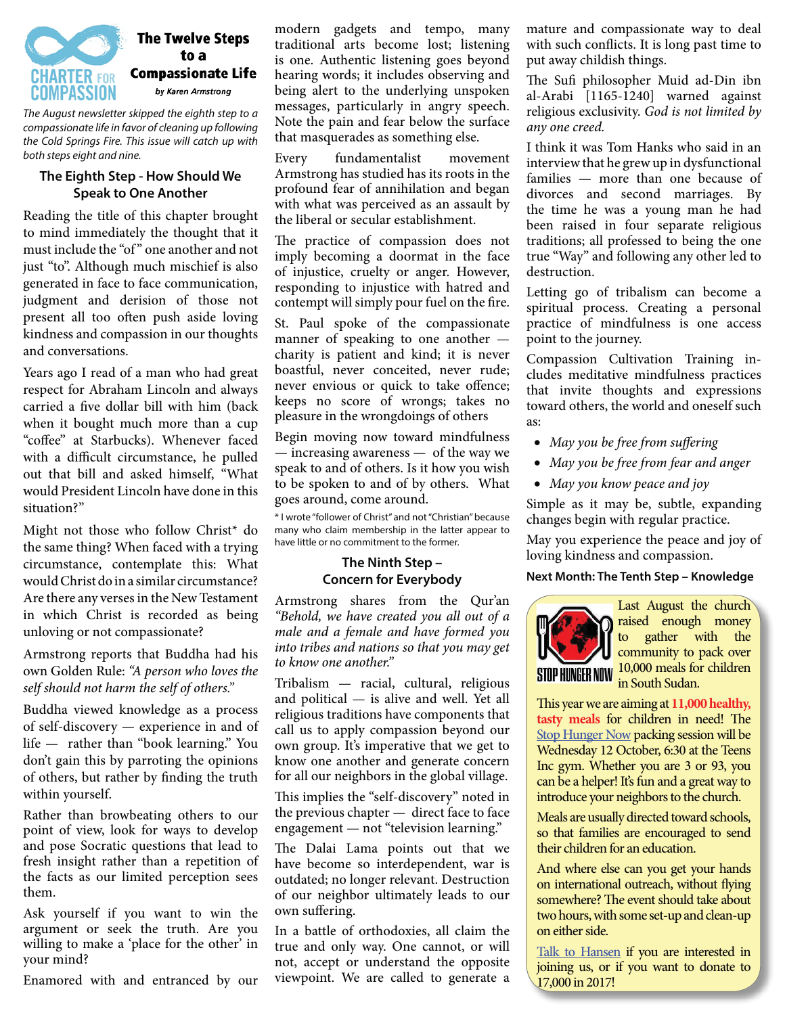

### **The Twelve Steps** to a **Compassionate Life** by Karen Armstrong

*The August newsletter skipped the eighth step to a compassionate life in favor of cleaning up following the Cold Springs Fire. This issue will catch up with both steps eight and nine.*

### **The Eighth Step - How Should We Speak to One Another**

Reading the title of this chapter brought to mind immediately the thought that it must include the "of " one another and not just "to". Although much mischief is also generated in face to face communication, judgment and derision of those not present all too often push aside loving kindness and compassion in our thoughts and conversations.

Years ago I read of a man who had great respect for Abraham Lincoln and always carried a five dollar bill with him (back when it bought much more than a cup "coffee" at Starbucks). Whenever faced with a difficult circumstance, he pulled out that bill and asked himself, "What would President Lincoln have done in this situation?"

Might not those who follow Christ\* do the same thing? When faced with a trying circumstance, contemplate this: What would Christ do in a similar circumstance? Are there any verses in the New Testament in which Christ is recorded as being unloving or not compassionate?

Armstrong reports that Buddha had his own Golden Rule: "A person who loves the self should not harm the self of others."

Buddha viewed knowledge as a process of self-discovery — experience in and of life — rather than "book learning." You don't gain this by parroting the opinions of others, but rather by finding the truth within yourself.

Rather than browbeating others to our point of view, look for ways to develop and pose Socratic questions that lead to fresh insight rather than a repetition of the facts as our limited perception sees them.

Ask yourself if you want to win the argument or seek the truth. Are you willing to make a 'place for the other' in your mind?

Enamored with and entranced by our

modern gadgets and tempo, many traditional arts become lost; listening is one. Authentic listening goes beyond hearing words; it includes observing and being alert to the underlying unspoken messages, particularly in angry speech. Note the pain and fear below the surface that masquerades as something else.

Every fundamentalist movement Armstrong has studied has its roots in the profound fear of annihilation and began with what was perceived as an assault by the liberal or secular establishment.

The practice of compassion does not imply becoming a doormat in the face of injustice, cruelty or anger. However, responding to injustice with hatred and contempt will simply pour fuel on the fire.

St. Paul spoke of the compassionate manner of speaking to one another charity is patient and kind; it is never boastful, never conceited, never rude; never envious or quick to take offence; keeps no score of wrongs; takes no pleasure in the wrongdoings of others

Begin moving now toward mindfulness — increasing awareness — of the way we speak to and of others. Is it how you wish to be spoken to and of by others. What goes around, come around.

\* I wrote "follower of Christ" and not "Christian" because many who claim membership in the latter appear to have little or no commitment to the former.

### **The Ninth Step – Concern for Everybody**

Armstrong shares from the Qur'an "Behold, we have created you all out of a male and a female and have formed you into tribes and nations so that you may get to know one another."

Tribalism — racial, cultural, religious and political — is alive and well. Yet all religious traditions have components that call us to apply compassion beyond our own group. It's imperative that we get to know one another and generate concern for all our neighbors in the global village.

This implies the "self-discovery" noted in the previous chapter — direct face to face engagement — not "television learning."

The Dalai Lama points out that we have become so interdependent, war is outdated; no longer relevant. Destruction of our neighbor ultimately leads to our own suffering.

In a battle of orthodoxies, all claim the true and only way. One cannot, or will not, accept or understand the opposite viewpoint. We are called to generate a

mature and compassionate way to deal with such conflicts. It is long past time to put away childish things.

The Sufi philosopher Muid ad-Din ibn al-Arabi [1165-1240] warned against religious exclusivity. God is not limited by any one creed.

I think it was Tom Hanks who said in an interview that he grew up in dysfunctional families — more than one because of divorces and second marriages. By the time he was a young man he had been raised in four separate religious traditions; all professed to being the one true "Way" and following any other led to destruction.

Letting go of tribalism can become a spiritual process. Creating a personal practice of mindfulness is one access point to the journey.

Compassion Cultivation Training includes meditative mindfulness practices that invite thoughts and expressions toward others, the world and oneself such as:

- May you be free from suffering
- May you be free from fear and anger
- May you know peace and joy

Simple as it may be, subtle, expanding changes begin with regular practice.

May you experience the peace and joy of loving kindness and compassion.

### **Next Month: The Tenth Step – Knowledge**



Last August the church raised enough money to gather with the community to pack over **STOP HUNGER NOW 10,000 meals for children** in South Sudan.

This year we are aiming at 11,000 healthy, tasty meals for children in need! The Stop Hunger Now packing session will be Wednesday 12 October, 6:30 at the Teens Inc gym. Whether you are 3 or 93, you can be a helper! It's fun and a great way to introduce your neighbors to the church.

Meals are usually directed toward schools, so that families are encouraged to send their children for an education.

And where else can you get your hands on international outreach, without flying somewhere? The event should take about two hours, with some set-up and clean-up on either side.

Talk to Hansen if you are interested in joining us, or if you want to donate to 17,000 in 2017!